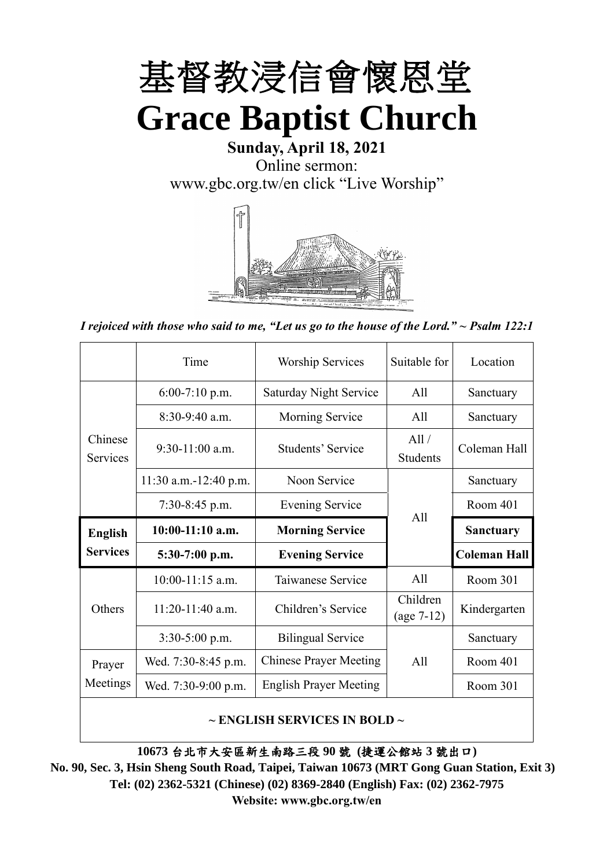

## **Sunday, April 18, 2021** Online sermon: [www.gbc.org.tw/en](http://www.gbc.org.tw/en) click "Live Worship"



*I rejoiced with those who said to me, "Let us go to the house of the Lord." ~ Psalm 122:1*

|                            | Time                  | <b>Worship Services</b>       | Suitable for             | Location            |
|----------------------------|-----------------------|-------------------------------|--------------------------|---------------------|
|                            | $6:00-7:10$ p.m.      | <b>Saturday Night Service</b> | All                      | Sanctuary           |
|                            | $8:30-9:40$ a.m.      | <b>Morning Service</b>        | All                      | Sanctuary           |
| Chinese<br><b>Services</b> | $9:30-11:00$ a.m.     | Students' Service             | All /<br><b>Students</b> | Coleman Hall        |
|                            | 11:30 a.m.-12:40 p.m. | Noon Service                  |                          | Sanctuary           |
|                            | $7:30-8:45$ p.m.      | <b>Evening Service</b>        | All                      | Room 401            |
|                            |                       |                               |                          |                     |
| <b>English</b>             | $10:00-11:10$ a.m.    | <b>Morning Service</b>        |                          | <b>Sanctuary</b>    |
| <b>Services</b>            | $5:30-7:00$ p.m.      | <b>Evening Service</b>        |                          | <b>Coleman Hall</b> |
|                            | $10:00-11:15$ a.m.    | Taiwanese Service             | A11                      | Room 301            |
| Others                     | $11:20-11:40$ a.m.    | Children's Service            | Children<br>$(age 7-12)$ | Kindergarten        |
|                            | $3:30-5:00$ p.m.      | <b>Bilingual Service</b>      |                          | Sanctuary           |
| Prayer                     | Wed. 7:30-8:45 p.m.   | <b>Chinese Prayer Meeting</b> | A11                      | Room 401            |
| Meetings                   | Wed. 7:30-9:00 p.m.   | <b>English Prayer Meeting</b> |                          | Room 301            |

#### **~ ENGLISH SERVICES IN BOLD ~**

**10673** 台北市大安區新生南路三段 **90** 號 **(**捷運公館站 **3** 號出口**)**

**No. 90, Sec. 3, Hsin Sheng South Road, Taipei, Taiwan 10673 (MRT Gong Guan Station, Exit 3) Tel: (02) 2362-5321 (Chinese) (02) 8369-2840 (English) Fax: (02) 2362-7975 Website: www.gbc.org.tw/en**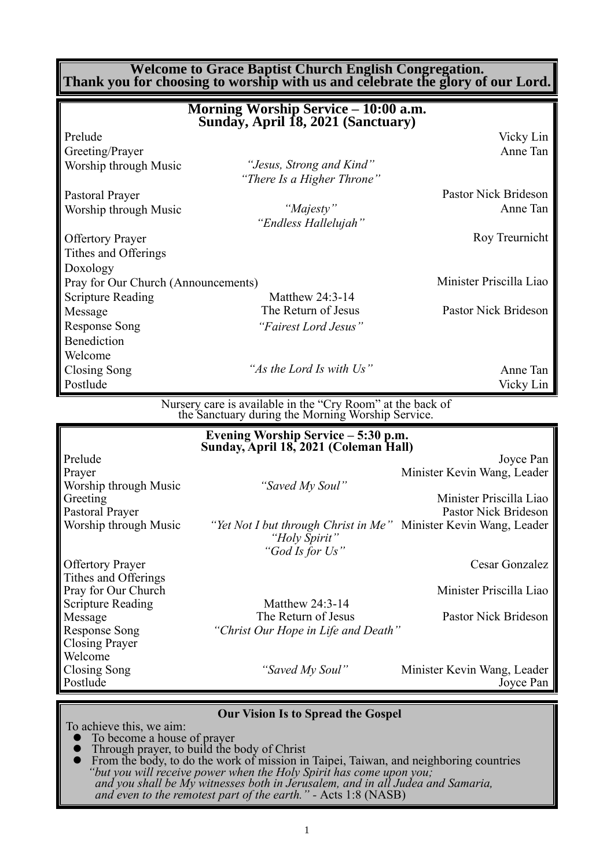**Welcome to Grace Baptist Church English Congregation. Thank you for choosing to worship with us and celebrate the glory of our Lord.**

|                                     | Morning Worship Service - 10:00 a.m.<br>Sunday, April 18, 2021 (Sanctuary)                                      |                                                 |
|-------------------------------------|-----------------------------------------------------------------------------------------------------------------|-------------------------------------------------|
| Prelude                             |                                                                                                                 | Vicky Lin                                       |
| Greeting/Prayer                     |                                                                                                                 | Anne Tan                                        |
| Worship through Music               | "Jesus, Strong and Kind"<br>"There Is a Higher Throne"                                                          |                                                 |
| Pastoral Prayer                     |                                                                                                                 | Pastor Nick Brideson                            |
| Worship through Music               | "Majesty"<br>"Endless Hallelujah"                                                                               | Anne Tan                                        |
| <b>Offertory Prayer</b>             |                                                                                                                 | Roy Treurnicht                                  |
| Tithes and Offerings                |                                                                                                                 |                                                 |
| Doxology                            |                                                                                                                 |                                                 |
| Pray for Our Church (Announcements) |                                                                                                                 | Minister Priscilla Liao                         |
| <b>Scripture Reading</b>            | Matthew 24:3-14                                                                                                 |                                                 |
| Message                             | The Return of Jesus                                                                                             | Pastor Nick Brideson                            |
| <b>Response Song</b>                | "Fairest Lord Jesus"                                                                                            |                                                 |
| Benediction                         |                                                                                                                 |                                                 |
| Welcome                             |                                                                                                                 |                                                 |
| Closing Song                        | "As the Lord Is with Us"                                                                                        | Anne Tan                                        |
| Postlude                            |                                                                                                                 | Vicky Lin                                       |
|                                     | Nursery care is available in the "Cry Room" at the back of<br>the Sanctuary during the Morning Worship Service. |                                                 |
|                                     | Evening Worship Service – 5:30 p.m.<br>Sunday, April 18, 2021 (Coleman Hall)                                    |                                                 |
| Prelude                             |                                                                                                                 | Joyce Pan                                       |
| Prayer                              |                                                                                                                 | Minister Kevin Wang, Leader                     |
| Worship through Music               | "Saved My Soul"                                                                                                 |                                                 |
| Greeting<br>Pastoral Prayer         |                                                                                                                 | Minister Priscilla Liao<br>Pastor Nick Brideson |
|                                     |                                                                                                                 |                                                 |

Worship through Music *"Yet Not I but through Christ in Me"* Minister Kevin Wang, Leader *"Holy Spirit" "God Is for Us"*

Offertory Prayer Cesar Gonzalez

Pray for Our Church Minister Priscilla Liao

Message The Return of Jesus Pastor Nick Brideson

Closing Song *"Saved My Soul"* Minister Kevin Wang, Leader Postlude Joyce Pan

**Our Vision Is to Spread the Gospel**

To achieve this, we aim:

Tithes and Offerings

Closing Prayer Welcome

- ⚫ To become a house of prayer
- ⚫ Through prayer, to build the body of Christ

Scripture Reading Matthew 24:3-14

Response Song *"Christ Our Hope in Life and Death"*

⚫ From the body, to do the work of mission in Taipei, Taiwan, and neighboring countries *"but you will receive power when the Holy Spirit has come upon you; and you shall be My witnesses both in Jerusalem, and in all Judea and Samaria, and even to the remotest part of the earth." -* Acts 1:8 (NASB)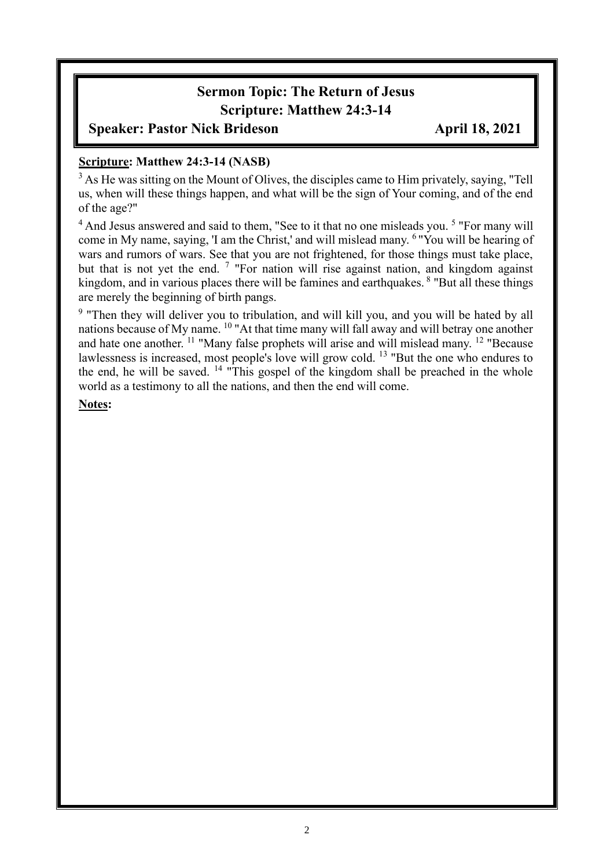# **Sermon Topic: The Return of Jesus Scripture: Matthew 24:3-14**

### **Speaker: Pastor Nick Brideson April 18, 2021**

#### **Scripture: Matthew 24:3-14 (NASB)**

<sup>3</sup> As He was sitting on the Mount of Olives, the disciples came to Him privately, saying, "Tell us, when will these things happen, and what will be the sign of Your coming, and of the end of the age?"

<sup>4</sup> And Jesus answered and said to them, "See to it that no one misleads you.<sup>5</sup> "For many will come in My name, saying, 'I am the Christ,' and will mislead many. <sup>6</sup>"You will be hearing of wars and rumors of wars. See that you are not frightened, for those things must take place, but that is not yet the end.<sup>7</sup> "For nation will rise against nation, and kingdom against kingdom, and in various places there will be famines and earthquakes. <sup>8</sup> "But all these things are merely the beginning of birth pangs.

<sup>9</sup> "Then they will deliver you to tribulation, and will kill you, and you will be hated by all nations because of My name. <sup>10</sup> "At that time many will fall away and will betray one another and hate one another. <sup>11</sup> "Many false prophets will arise and will mislead many. <sup>12</sup> "Because lawlessness is increased, most people's love will grow cold. <sup>13</sup> "But the one who endures to the end, he will be saved. <sup>14</sup> "This gospel of the kingdom shall be preached in the whole world as a testimony to all the nations, and then the end will come.

**Notes:**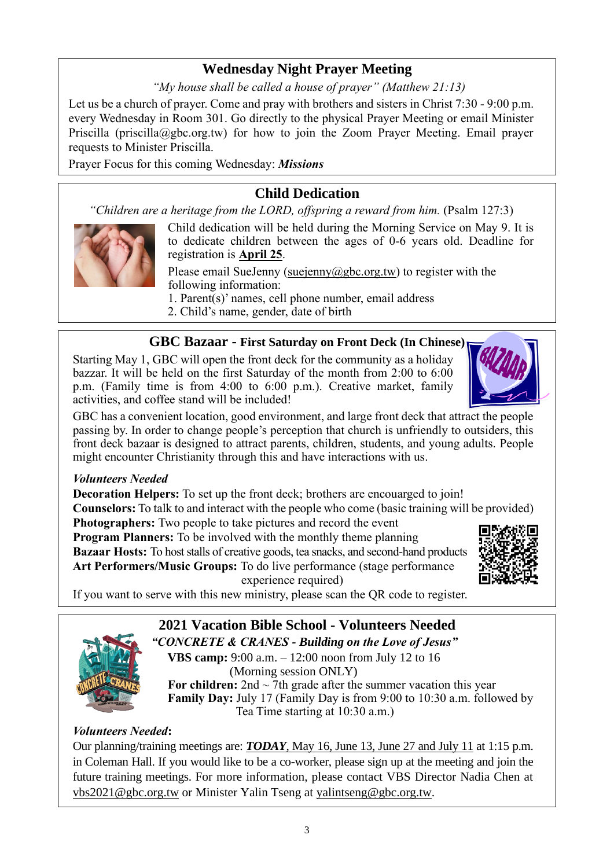## **Wednesday Night Prayer Meeting**

*"My house shall be called a house of prayer" (Matthew 21:13)*

Let us be a church of prayer. Come and pray with brothers and sisters in Christ 7:30 - 9:00 p.m. every Wednesday in Room 301. Go directly to the physical Prayer Meeting or email Minister Priscilla (priscilla@gbc.org.tw) for how to join the Zoom Prayer Meeting. Email prayer requests to Minister Priscilla.

Prayer Focus for this coming Wednesday: *Missions*

## **Child Dedication**

*"Children are a heritage from the LORD, offspring a reward from him.* (Psalm 127:3)



Child dedication will be held during the Morning Service on May 9. It is to dedicate children between the ages of 0-6 years old. Deadline for registration is **April 25**.

Please email SueJenny [\(suejenny@gbc.org.tw\)](mailto:suejenny@gbc.org.tw) to register with the following information:

1. Parent(s)' names, cell phone number, email address 2. Child's name, gender, date of birth

#### **GBC Bazaar - First Saturday on Front Deck (In Chinese)**

Starting May 1, GBC will open the front deck for the community as a holiday bazzar. It will be held on the first Saturday of the month from 2:00 to 6:00 p.m. (Family time is from 4:00 to 6:00 p.m.). Creative market, family activities, and coffee stand will be included!

GBC has a convenient location, good environment, and large front deck that attract the people passing by. In order to change people's perception that church is unfriendly to outsiders, this front deck bazaar is designed to attract parents, children, students, and young adults. People might encounter Christianity through this and have interactions with us.

#### *Volunteers Needed*

**Decoration Helpers:** To set up the front deck; brothers are encouarged to join! **Counselors:** To talk to and interact with the people who come (basic training will be provided) **Photographers:** Two people to take pictures and record the event

**Program Planners:** To be involved with the monthly theme planning **Bazaar Hosts:** To host stalls of creative goods, tea snacks, and second-hand products **Art Performers/Music Groups:** To do live performance (stage performance experience required)



If you want to serve with this new ministry, please scan the QR code to register.

# **2021 Vacation Bible School - Volunteers Needed**

*"CONCRETE & CRANES - Building on the Love of Jesus"* **VBS camp:** 9:00 a.m. – 12:00 noon from July 12 to 16 (Morning session ONLY)

**For children:** 2nd  $\sim$  7th grade after the summer vacation this year **Family Day:** July 17 (Family Day is from 9:00 to 10:30 a.m. followed by Tea Time starting at 10:30 a.m.)

#### *Volunteers Needed***:**

Our planning/training meetings are: *TODAY*, May 16, June 13, June 27 and July 11 at 1:15 p.m. in Coleman Hall. If you would like to be a co-worker, please sign up at the meeting and join the future training meetings. For more information, please contact VBS Director Nadia Chen at [vbs2021@gbc.org.tw](mailto:vbs2021@gbc.org.tw) or Minister Yalin Tseng at yalintseng@gbc.org.tw.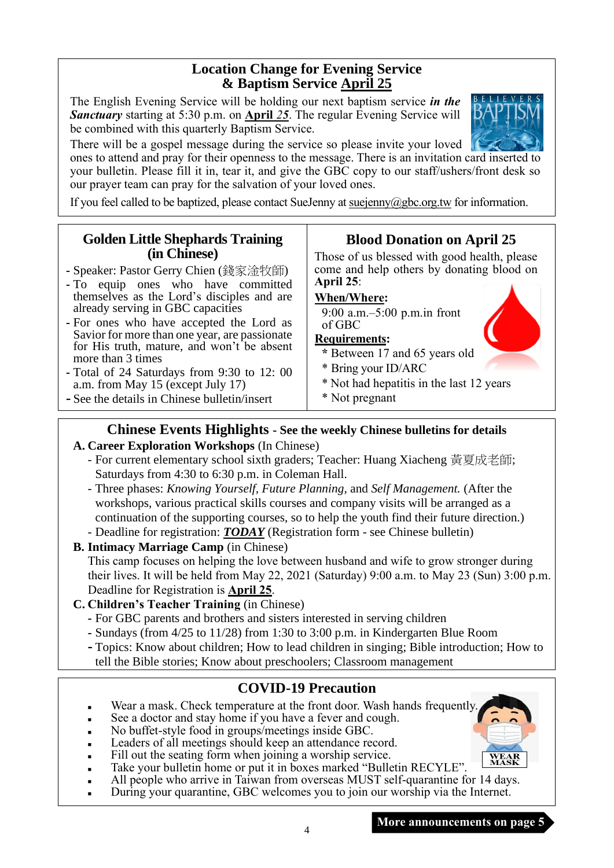#### **Location Change for Evening Service & Baptism Service April 25**

The English Evening Service will be holding our next baptism service *in the Sanctuary* starting at 5:30 p.m. on **April** *25*. The regular Evening Service will be combined with this quarterly Baptism Service.

There will be a gospel message during the service so please invite your loved ones to attend and pray for their openness to the message. There is an invitation card inserted to

your bulletin. Please fill it in, tear it, and give the GBC copy to our staff/ushers/front desk so our prayer team can pray for the salvation of your loved ones.

If you feel called to be baptized, please contact SueJenny a[t suejenny@gbc.org.tw](mailto:suejenny@gbc.org.tw) for information.

#### **Golden Little Shephards Training (in Chinese)**

- **-** Speaker: Pastor Gerry Chien (錢家淦牧師)
- **-** To equip ones who have committed themselves as the Lord's disciples and are already serving in GBC capacities
- **-** For ones who have accepted the Lord as Savior for more than one year, are passionate for His truth, mature, and won't be absent more than 3 times
- **-** Total of 24 Saturdays from 9:30 to 12: 00 a.m. from May 15 (except July 17)
- **-** See the details in Chinese bulletin/insert

# **Blood Donation on April 25**

Those of us blessed with good health, please come and help others by donating blood on **April 25**:

#### **When/Where:**

9:00 a.m.–5:00 p.m.in front of GBC

#### **Requirements:**

- **\*** Between 17 and 65 years old
- \* Bring your ID/ARC
- \* Not had hepatitis in the last 12 years
- \* Not pregnant

### **Chinese Events Highlights - See the weekly Chinese bulletins for details**

#### **A. Career Exploration Workshops** (In Chinese)

- For current elementary school sixth graders; Teacher: Huang Xiacheng 黃夏成老師; Saturdays from 4:30 to 6:30 p.m. in Coleman Hall.
- Three phases: *Knowing Yourself, Future Planning,* and *Self Management.* (After the workshops, various practical skills courses and company visits will be arranged as a continuation of the supporting courses, so to help the youth find their future direction.)
- Deadline for registration: *TODAY* (Registration form see Chinese bulletin)
- **B. Intimacy Marriage Camp** (in Chinese) This camp focuses on helping the love between husband and wife to grow stronger during their lives. It will be held from May 22, 2021 (Saturday) 9:00 a.m. to May 23 (Sun) 3:00 p.m. Deadline for Registration is **April 25**.
- **C. Children's Teacher Training** (in Chinese)
	- **-** For GBC parents and brothers and sisters interested in serving children
	- **-** Sundays (from 4/25 to 11/28) from 1:30 to 3:00 p.m. in Kindergarten Blue Room
	- **-** Topics: Know about children; How to lead children in singing; Bible introduction; How to tell the Bible stories; Know about preschoolers; Classroom management

## **COVID-19 Precaution**

- Wear a mask. Check temperature at the front door. Wash hands frequently.
- See a doctor and stay home if you have a fever and cough.
- No buffet-style food in groups/meetings inside GBC.
- Leaders of all meetings should keep an attendance record.
- Fill out the seating form when joining a worship service.
- **WEAR**<br>MASK Take your bulletin home or put it in boxes marked "Bulletin RECYLE".
- All people who arrive in Taiwan from overseas MUST self-quarantine for 14 days.

4

During your quarantine, GBC welcomes you to join our worship via the Internet.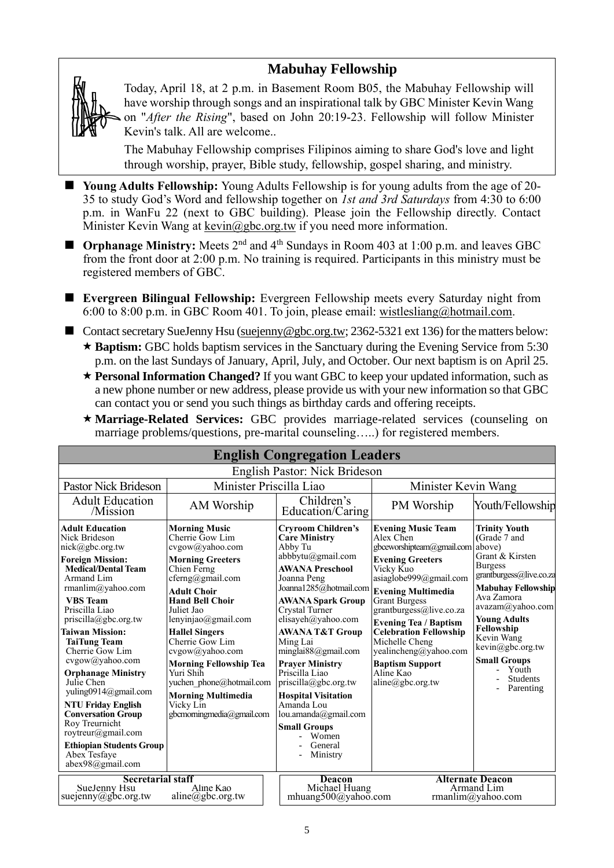## **Mabuhay Fellowship**



Today, April 18, at 2 p.m. in Basement Room B05, the Mabuhay Fellowship will have worship through songs and an inspirational talk by GBC Minister Kevin Wang on "*After the Rising*", based on John 20:19-23. Fellowship will follow Minister Kevin's talk. All are welcome..

The Mabuhay Fellowship comprises Filipinos aiming to share God's love and light through worship, prayer, Bible study, fellowship, gospel sharing, and ministry.

- **Young Adults Fellowship:** Young Adults Fellowship is for young adults from the age of 20-35 to study God's Word and fellowship together on *1st and 3rd Saturdays* from 4:30 to 6:00 p.m. in WanFu 22 (next to GBC building). Please join the Fellowship directly. Contact Minister Kevin Wang at kevin@gbc.org.tw if you need more information.
- **Orphanage Ministry:** Meets 2<sup>nd</sup> and 4<sup>th</sup> Sundays in Room 403 at 1:00 p.m. and leaves GBC from the front door at 2:00 p.m. No training is required. Participants in this ministry must be registered members of GBC.
- **Evergreen Bilingual Fellowship:** Evergreen Fellowship meets every Saturday night from 6:00 to 8:00 p.m. in GBC Room 401. To join, please email: [wistlesliang@hotmail.com.](mailto:wistlesliang@hotmail.com)
- Contact secretary SueJenny Hsu [\(suejenny@gbc.org.tw;](mailto:suejenny@gbc.org.tw) 2362-5321 ext 136) for the matters below: ★ Baptism: GBC holds baptism services in the Sanctuary during the Evening Service from 5:30 p.m. on the last Sundays of January, April, July, and October. Our next baptism is on April 25.
	- **Personal Information Changed?** If you want GBC to keep your updated information, such as a new phone number or new address, please provide us with your new information so that GBC can contact you or send you such things as birthday cards and offering receipts.

| * Marriage-Related Services: GBC provides marriage-related services (counseling on |  |  |  |  |
|------------------------------------------------------------------------------------|--|--|--|--|
| marriage problems/questions, pre-marital counseling) for registered members.       |  |  |  |  |

|                                                                                                                                                                                                                                                                                                                                                                                                                                                                                                                                                        |                                                                                                                                                                                                                                                                                                                                                                                                                               | <b>English Congregation Leaders</b>                                                                                                                                                                                                                                                                                                                                                                                                                                                                      |                                                                                                                                                                                                                                                                                                                                                                                                          |                                                                                                                                                                                                                                                                                                     |
|--------------------------------------------------------------------------------------------------------------------------------------------------------------------------------------------------------------------------------------------------------------------------------------------------------------------------------------------------------------------------------------------------------------------------------------------------------------------------------------------------------------------------------------------------------|-------------------------------------------------------------------------------------------------------------------------------------------------------------------------------------------------------------------------------------------------------------------------------------------------------------------------------------------------------------------------------------------------------------------------------|----------------------------------------------------------------------------------------------------------------------------------------------------------------------------------------------------------------------------------------------------------------------------------------------------------------------------------------------------------------------------------------------------------------------------------------------------------------------------------------------------------|----------------------------------------------------------------------------------------------------------------------------------------------------------------------------------------------------------------------------------------------------------------------------------------------------------------------------------------------------------------------------------------------------------|-----------------------------------------------------------------------------------------------------------------------------------------------------------------------------------------------------------------------------------------------------------------------------------------------------|
|                                                                                                                                                                                                                                                                                                                                                                                                                                                                                                                                                        |                                                                                                                                                                                                                                                                                                                                                                                                                               | English Pastor: Nick Brideson                                                                                                                                                                                                                                                                                                                                                                                                                                                                            |                                                                                                                                                                                                                                                                                                                                                                                                          |                                                                                                                                                                                                                                                                                                     |
| Minister Priscilla Liao<br><b>Pastor Nick Brideson</b>                                                                                                                                                                                                                                                                                                                                                                                                                                                                                                 |                                                                                                                                                                                                                                                                                                                                                                                                                               |                                                                                                                                                                                                                                                                                                                                                                                                                                                                                                          | Minister Kevin Wang                                                                                                                                                                                                                                                                                                                                                                                      |                                                                                                                                                                                                                                                                                                     |
| <b>Adult Education</b><br>/Mission                                                                                                                                                                                                                                                                                                                                                                                                                                                                                                                     | AM Worship                                                                                                                                                                                                                                                                                                                                                                                                                    | Children's<br>Education/Caring                                                                                                                                                                                                                                                                                                                                                                                                                                                                           | PM Worship                                                                                                                                                                                                                                                                                                                                                                                               | Youth/Fellowship                                                                                                                                                                                                                                                                                    |
| <b>Adult Education</b><br>Nick Brideson<br>nick@gbc.org.tw<br><b>Foreign Mission:</b><br><b>Medical/Dental Team</b><br>Armand Lim<br>rmanlim@yahoo.com<br><b>VBS</b> Team<br>Priscilla Liao<br>priscilla@gbc.org.tw<br><b>Taiwan Mission:</b><br><b>TaiTung Team</b><br>Cherrie Gow Lim<br>cvgow@yahoo.com<br><b>Orphanage Ministry</b><br>Julie Chen<br>yuling0914@gmail.com<br><b>NTU Friday English</b><br><b>Conversation Group</b><br>Roy Treurnicht<br>roytreur@gmail.com<br><b>Ethiopian Students Group</b><br>Abex Tesfaye<br>abex98@gmail.com | <b>Morning Music</b><br>Cherrie Gow Lim<br>cvgow@yahoo.com<br><b>Morning Greeters</b><br>Chien Ferng<br>cferng@gmail.com<br><b>Adult Choir</b><br><b>Hand Bell Choir</b><br>Juliet Jao<br>lenyinjao@gmail.com<br><b>Hallel Singers</b><br>Cherrie Gow Lim<br>cvgow@yahoo.com<br><b>Morning Fellowship Tea</b><br>Yuri Shih<br>yuchen phone@hotmail.com<br><b>Morning Multimedia</b><br>Vicky Lin<br>gbcmorningmedia@gmail.com | <b>Cryroom Children's</b><br><b>Care Ministry</b><br>Abby Tu<br>abbbytu@gmail.com<br><b>AWANA Preschool</b><br>Joanna Peng<br>Joanna1285@hotmail.com<br><b>AWANA Spark Group</b><br>Crystal Turner<br>elisayeh@yahoo.com<br><b>AWANA T&amp;T Group</b><br>Ming Lai<br>minglai $88$ @gmail.com<br><b>Praver Ministry</b><br>Priscilla Liao<br>$priscilla(\partial gbc.org.tw)$<br><b>Hospital Visitation</b><br>Amanda Lou<br>lou.amanda@gmail.com<br><b>Small Groups</b><br>Women<br>General<br>Ministry | <b>Evening Music Team</b><br>Alex Chen<br>gbceworshipteam@gmail.com above)<br><b>Evening Greeters</b><br>Vicky Kuo<br>asiaglobe999@gmail.com<br><b>Evening Multimedia</b><br><b>Grant Burgess</b><br>grantburgess@live.co.za<br><b>Evening Tea / Baptism</b><br><b>Celebration Fellowship</b><br>Michelle Cheng<br>yealincheng@yahoo.com<br><b>Baptism Support</b><br>Aline Kao<br>$aline(a)$ gbc.org.tw | Trinity Youth<br>(Grade 7 and<br>Grant & Kirsten<br><b>Burgess</b><br>grantburgess@live.co.za<br><b>Mabuhay Fellowship</b><br>Ava Zamora<br>avazam@yahoo.com<br><b>Young Adults</b><br>Fellowship<br>Kevin Wang<br>kevin@gbc.org.tw<br><b>Small Groups</b><br>Youth<br><b>Students</b><br>Parenting |
| <b>Secretarial staff</b><br>SueJenny Hsu<br>suejenny@gbc.org.tw                                                                                                                                                                                                                                                                                                                                                                                                                                                                                        | Aline Kao<br>$aline(\partial gbc.org.tw)$                                                                                                                                                                                                                                                                                                                                                                                     | <b>Deacon</b><br>Michael Huang<br>mhuang500@yahoo.com                                                                                                                                                                                                                                                                                                                                                                                                                                                    |                                                                                                                                                                                                                                                                                                                                                                                                          | <b>Alternate Deacon</b><br>Armand Lim<br>rmanlim@yahoo.com                                                                                                                                                                                                                                          |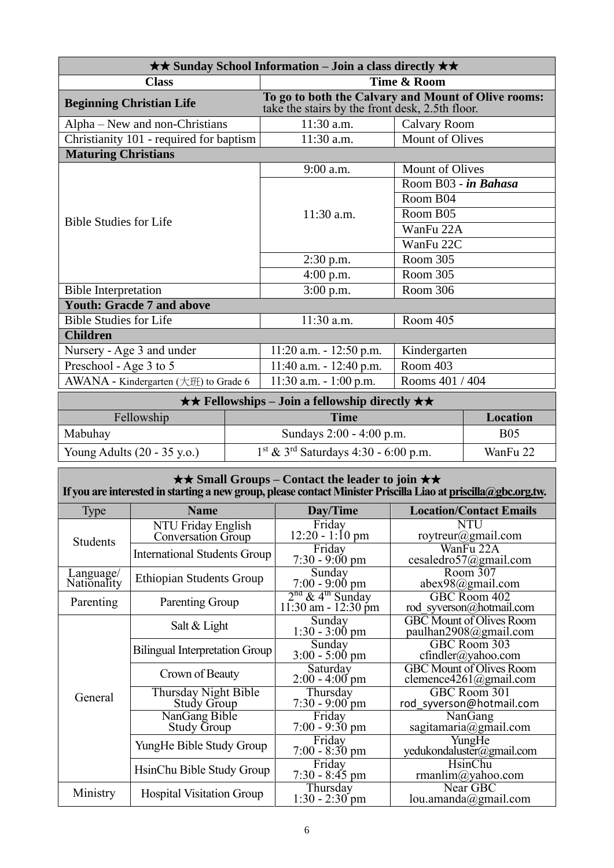| $\star\star$ Sunday School Information – Join a class directly $\star\star$                                                                                         |                                                                                                        |                        |  |  |
|---------------------------------------------------------------------------------------------------------------------------------------------------------------------|--------------------------------------------------------------------------------------------------------|------------------------|--|--|
| <b>Class</b>                                                                                                                                                        | Time & Room                                                                                            |                        |  |  |
| <b>Beginning Christian Life</b>                                                                                                                                     | To go to both the Calvary and Mount of Olive rooms:<br>take the stairs by the front desk, 2.5th floor. |                        |  |  |
| Alpha – New and non-Christians                                                                                                                                      | 11:30 a.m.                                                                                             | Calvary Room           |  |  |
| Christianity 101 - required for baptism                                                                                                                             | 11:30 a.m.                                                                                             | <b>Mount of Olives</b> |  |  |
| <b>Maturing Christians</b>                                                                                                                                          |                                                                                                        |                        |  |  |
|                                                                                                                                                                     | 9:00 a.m.                                                                                              | Mount of Olives        |  |  |
|                                                                                                                                                                     |                                                                                                        | Room B03 - in Bahasa   |  |  |
|                                                                                                                                                                     |                                                                                                        | Room B04               |  |  |
|                                                                                                                                                                     | $11:30$ a.m.                                                                                           | Room B05               |  |  |
| <b>Bible Studies for Life</b>                                                                                                                                       |                                                                                                        | WanFu 22A              |  |  |
|                                                                                                                                                                     |                                                                                                        | WanFu 22C              |  |  |
|                                                                                                                                                                     | $2:30$ p.m.                                                                                            | Room 305               |  |  |
|                                                                                                                                                                     | $4:00$ p.m.                                                                                            | Room 305               |  |  |
| <b>Bible Interpretation</b>                                                                                                                                         | $3:00$ p.m.                                                                                            | Room 306               |  |  |
| <b>Youth: Gracde 7 and above</b>                                                                                                                                    |                                                                                                        |                        |  |  |
| <b>Bible Studies for Life</b>                                                                                                                                       | 11:30 a.m.                                                                                             | Room 405               |  |  |
| <b>Children</b>                                                                                                                                                     |                                                                                                        |                        |  |  |
| Nursery - Age 3 and under                                                                                                                                           | $11:20$ a.m. $-12:50$ p.m.                                                                             | Kindergarten           |  |  |
| Preschool - Age 3 to 5                                                                                                                                              | $11:40$ a.m. $-12:40$ p.m.                                                                             | Room 403               |  |  |
| AWANA - Kindergarten (大班) to Grade 6                                                                                                                                | $11:30$ a.m. $-1:00$ p.m.                                                                              | Rooms 401 / 404        |  |  |
| $T_{1}$ , $T_{2}$ , $T_{3}$ , $T_{4}$ , $T_{5}$ , $T_{6}$ , $T_{7}$ , $T_{8}$ , $T_{1}$ , $T_{1}$ , $T_{1}$<br>$\mathbf{A}$ $\mathbf{A}$ in the set of $\mathbf{A}$ |                                                                                                        |                        |  |  |

| $\star \star$ Fellowships – Join a fellowship directly $\star \star$ |                                                    |            |  |
|----------------------------------------------------------------------|----------------------------------------------------|------------|--|
| Fellowship<br><b>Time</b><br>Location                                |                                                    |            |  |
| Mabuhay                                                              | Sundays 2:00 - 4:00 p.m.                           | <b>B05</b> |  |
| Young Adults $(20 - 35 \text{ y.o.})$                                | $1st$ & 3 <sup>rd</sup> Saturdays 4:30 - 6:00 p.m. | WanFu 22   |  |

| $\star\star$ Small Groups – Contact the leader to join $\star\star$<br>If you are interested in starting a new group, please contact Minister Priscilla Liao at priscilla@gbc.org.tw. |                                                 |                                                           |                                                                 |  |
|---------------------------------------------------------------------------------------------------------------------------------------------------------------------------------------|-------------------------------------------------|-----------------------------------------------------------|-----------------------------------------------------------------|--|
| <b>Type</b>                                                                                                                                                                           | <b>Name</b>                                     | Day/Time                                                  | <b>Location/Contact Emails</b>                                  |  |
| <b>Students</b>                                                                                                                                                                       | NTU Friday English<br><b>Conversation Group</b> | Friday<br>$12:20 - 1:10 \text{ pm}$                       | NTU<br>roytreur@gmail.com                                       |  |
|                                                                                                                                                                                       | <b>International Students Group</b>             | Friday<br>$7:30 - 9:00 \text{ pm}$                        | WanFu 22A<br>cesaledro57@gmail.com                              |  |
| Language/<br>Nationality                                                                                                                                                              | <b>Ethiopian Students Group</b>                 | Sunday<br>$7:00 - 9:00$ pm                                | Room 307<br>abex98@gmail.com                                    |  |
| Parenting                                                                                                                                                                             | Parenting Group                                 | $2nd$ & 4 <sup>th</sup> Sunday<br>$11:30$ am - $12:30$ pm | GBC Room 402<br>rod syverson@hotmail.com                        |  |
|                                                                                                                                                                                       | Salt & Light                                    | Sunday<br>$1:30 - 3:00$ pm                                | <b>GBC</b> Mount of Olives Room<br>paulhan2908@gmail.com        |  |
|                                                                                                                                                                                       | <b>Bilingual Interpretation Group</b>           | Sunday<br>$3:00 - 5:00$ pm                                | GBC Room 303<br>cfindler@yahoo.com                              |  |
|                                                                                                                                                                                       | Crown of Beauty                                 | Saturday<br>$2:00 - 4:00$ pm                              | <b>GBC</b> Mount of Olives Room<br>clemence4261@gmail.com       |  |
| General                                                                                                                                                                               | Thursday Night Bible<br><b>Study Group</b>      | Thursday<br>$7:30 - 9:00$ pm                              | GBC Room 301<br>rod syverson@hotmail.com                        |  |
|                                                                                                                                                                                       | NanGang Bible<br><b>Study Group</b>             | Friday<br>$7:00 - 9:30$ pm                                | $\overline{\text{N}}$ an $\text{Gang}$<br>sagitamaria@gmail.com |  |
|                                                                                                                                                                                       | YungHe Bible Study Group                        | Friday<br>$7:00 - 8:30$ pm                                | YungHe<br>yedukondaluster@gmail.com                             |  |
|                                                                                                                                                                                       | HsinChu Bible Study Group                       | Friday<br>$7:30 - 8:45$ pm                                | HsinChu<br>rmanlim@yahoo.com                                    |  |
| Ministry                                                                                                                                                                              | <b>Hospital Visitation Group</b>                | Thursday<br>$1:30 - 2:30$ pm                              | Near GBC<br>lou.amanda@gmail.com                                |  |